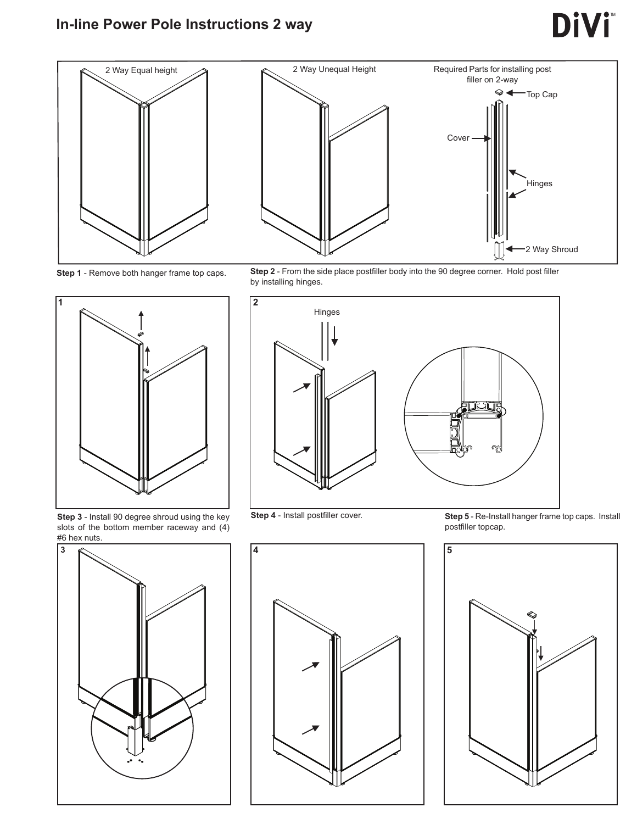#### **In-line Power Pole Instructions 2 way**

## **DiVi**









**Step 3** - Install 90 degree shroud using the key slots of the bottom member raceway and (4) #6 hex nuts.



**Step 4** - Install postfiller cover.

**Step 5** - Re-Install hanger frame top caps. Install postfiller topcap.





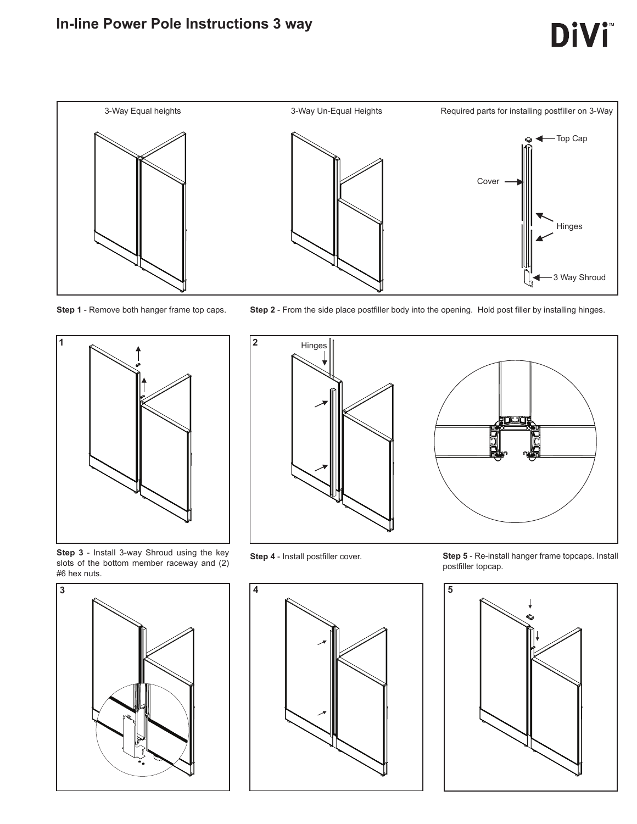#### **In-line Power Pole Instructions 3 way**





**Step 1** - Remove both hanger frame top caps. **Step 2** - From the side place postfiller body into the opening. Hold post filler by installing hinges.



**Step 3** - Install 3-way Shroud using the key slots of the bottom member raceway and (2) #6 hex nuts.





**Step 4** - Install postfiller cover. **Step 5** - Re-install hanger frame topcaps. Install postfiller topcap.